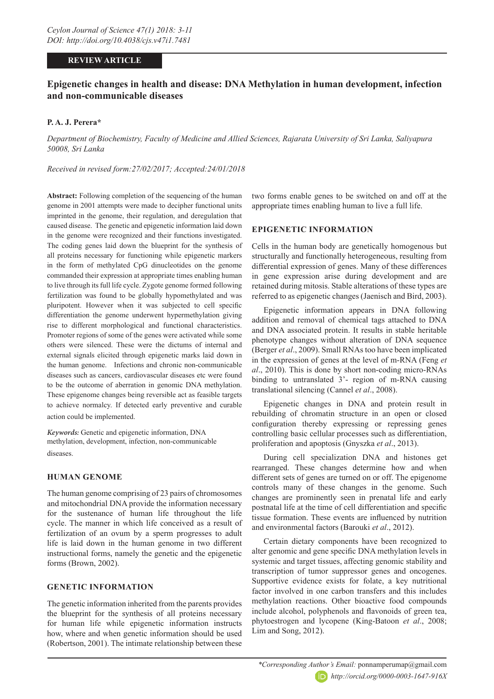# **REVIEW ARTICLE**

# **Epigenetic changes in health and disease: DNA Methylation in human development, infection and non-communicable diseases**

# **P. A. J. Perera\***

*Department of Biochemistry, Faculty of Medicine and Allied Sciences, Rajarata University of Sri Lanka, Saliyapura 50008, Sri Lanka*

*Received in revised form:27/02/2017; Accepted:24/01/2018*

**Abstract:** Following completion of the sequencing of the human genome in 2001 attempts were made to decipher functional units imprinted in the genome, their regulation, and deregulation that caused disease. The genetic and epigenetic information laid down in the genome were recognized and their functions investigated. The coding genes laid down the blueprint for the synthesis of all proteins necessary for functioning while epigenetic markers in the form of methylated CpG dinucleotides on the genome commanded their expression at appropriate times enabling human to live through its full life cycle. Zygote genome formed following fertilization was found to be globally hypomethylated and was pluripotent. However when it was subjected to cell specific differentiation the genome underwent hypermethylation giving rise to different morphological and functional characteristics. Promoter regions of some of the genes were activated while some others were silenced. These were the dictums of internal and external signals elicited through epigenetic marks laid down in the human genome. Infections and chronic non-communicable diseases such as cancers, cardiovascular diseases etc were found to be the outcome of aberration in genomic DNA methylation. These epigenome changes being reversible act as feasible targets to achieve normalcy. If detected early preventive and curable action could be implemented.

*Keywords:* Genetic and epigenetic information, DNA methylation, development, infection, non-communicable diseases.

# **HUMAN GENOME**

The human genome comprising of 23 pairs of chromosomes and mitochondrial DNA provide the information necessary for the sustenance of human life throughout the life cycle. The manner in which life conceived as a result of fertilization of an ovum by a sperm progresses to adult life is laid down in the human genome in two different instructional forms, namely the genetic and the epigenetic forms (Brown, 2002).

# **GENETIC INFORMATION**

The genetic information inherited from the parents provides the blueprint for the synthesis of all proteins necessary for human life while epigenetic information instructs how, where and when genetic information should be used (Robertson, 2001). The intimate relationship between these

two forms enable genes to be switched on and off at the appropriate times enabling human to live a full life.

# **EPIGENETIC INFORMATION**

Cells in the human body are genetically homogenous but structurally and functionally heterogeneous, resulting from differential expression of genes. Many of these differences in gene expression arise during development and are retained during mitosis. Stable alterations of these types are referred to as epigenetic changes (Jaenisch and Bird, 2003).

Epigenetic information appears in DNA following addition and removal of chemical tags attached to DNA and DNA associated protein. It results in stable heritable phenotype changes without alteration of DNA sequence (Berger *et al*., 2009). Small RNAs too have been implicated in the expression of genes at the level of m-RNA (Feng *et al*., 2010). This is done by short non-coding micro-RNAs binding to untranslated 3'- region of m-RNA causing translational silencing (Cannel *et al*., 2008).

Epigenetic changes in DNA and protein result in rebuilding of chromatin structure in an open or closed configuration thereby expressing or repressing genes controlling basic cellular processes such as differentiation, proliferation and apoptosis (Gnyszka *et al*., 2013).

During cell specialization DNA and histones get rearranged. These changes determine how and when different sets of genes are turned on or off. The epigenome controls many of these changes in the genome. Such changes are prominently seen in prenatal life and early postnatal life at the time of cell differentiation and specific tissue formation. These events are influenced by nutrition and environmental factors (Barouki *et al*., 2012).

Certain dietary components have been recognized to alter genomic and gene specific DNA methylation levels in systemic and target tissues, affecting genomic stability and transcription of tumor suppressor genes and oncogenes. Supportive evidence exists for folate, a key nutritional factor involved in one carbon transfers and this includes methylation reactions. Other bioactive food compounds include alcohol, polyphenols and flavonoids of green tea, phytoestrogen and lycopene (King-Batoon *et al*., 2008; Lim and Song, 2012).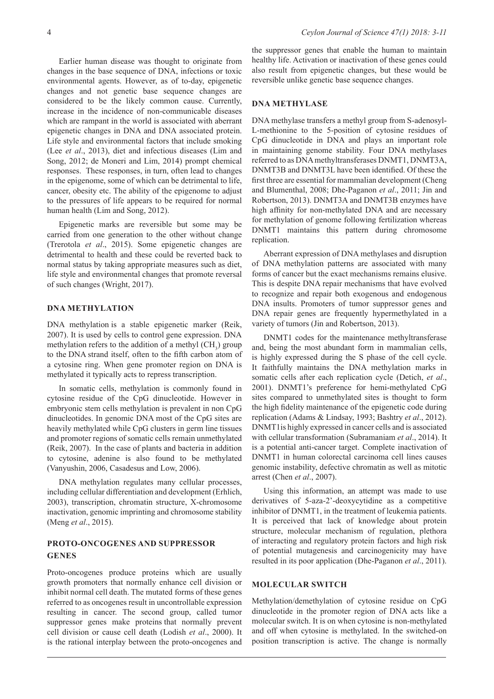Earlier human disease was thought to originate from changes in the base sequence of DNA, infections or toxic environmental agents. However, as of to-day, epigenetic changes and not genetic base sequence changes are considered to be the likely common cause. Currently, increase in the incidence of non-communicable diseases which are rampant in the world is associated with aberrant epigenetic changes in DNA and DNA associated protein. Life style and environmental factors that include smoking (Lee *et al*., 2013), diet and infectious diseases (Lim and Song, 2012; de Moneri and Lim, 2014) prompt chemical responses. These responses, in turn, often lead to changes in the epigenome, some of which can be detrimental to life, cancer, obesity etc. The ability of the epigenome to adjust to the pressures of life appears to be required for normal human health (Lim and Song, 2012).

Epigenetic marks are reversible but some may be carried from one generation to the other without change (Trerotola *et al*., 2015). Some epigenetic changes are detrimental to health and these could be reverted back to normal status by taking appropriate measures such as diet, life style and environmental changes that promote reversal of such changes (Wright, 2017).

### **DNA METHYLATION**

DNA methylation is a stable epigenetic marker (Reik, 2007). It is used by cells to control gene expression. DNA methylation refers to the addition of a methyl  $(CH_3)$  group to the DNA strand itself, often to the fifth carbon atom of a cytosine ring. When gene promoter region on DNA is methylated it typically acts to repress transcription.

In somatic cells, methylation is commonly found in cytosine residue of the CpG dinucleotide. However in embryonic stem cells methylation is prevalent in non CpG dinucleotides. In genomic DNA most of the CpG sites are heavily methylated while CpG clusters in germ line tissues and promoter regions of somatic cells remain unmethylated (Reik, 2007). In the case of plants and bacteria in addition to cytosine, adenine is also found to be methylated (Vanyushin, 2006, Casadesus and Low, 2006).

DNA methylation regulates many cellular processes, including cellular differentiation and development (Erhlich, 2003), transcription, chromatin structure, X-chromosome inactivation, genomic imprinting and chromosome stability (Meng *et al*., 2015).

# **PROTO-ONCOGENES AND SUPPRESSOR GENES**

Proto-oncogenes produce proteins which are usually growth promoters that normally enhance cell division or inhibit normal cell death. The mutated forms of these genes referred to as oncogenes result in uncontrollable expression resulting in cancer. The second group, called tumor suppressor genes make proteins that normally prevent cell division or cause cell death (Lodish *et al*., 2000). It is the rational interplay between the proto-oncogenes and

the suppressor genes that enable the human to maintain healthy life. Activation or inactivation of these genes could also result from epigenetic changes, but these would be reversible unlike genetic base sequence changes.

### **DNA METHYLASE**

DNA methylase transfers a methyl group from S-adenosyl-L-methionine to the 5-position of cytosine residues of CpG dinucleotide in DNA and plays an important role in maintaining genome stability. Four DNA methylases referred to as DNA methyltransferases DNMT1, DNMT3A, DNMT3B and DNMT3L have been identified. Of these the first three are essential for mammalian development (Cheng and Blumenthal, 2008; Dhe-Paganon *et al*., 2011; Jin and Robertson, 2013). DNMT3A and DNMT3B enzymes have high affinity for non-methylated DNA and are necessary for methylation of genome following fertilization whereas DNMT1 maintains this pattern during chromosome replication.

Aberrant expression of DNA methylases and disruption of DNA methylation patterns are associated with many forms of cancer but the exact mechanisms remains elusive. This is despite DNA repair mechanisms that have evolved to recognize and repair both exogenous and endogenous DNA insults. Promoters of tumor suppressor genes and DNA repair genes are frequently hypermethylated in a variety of tumors (Jin and Robertson, 2013).

DNMT1 codes for the maintenance methyltransferase and, being the most abundant form in mammalian cells, is highly expressed during the S phase of the cell cycle. It faithfully maintains the DNA methylation marks in somatic cells after each replication cycle (Detich, *et al*., 2001). DNMT1's preference for hemi-methylated CpG sites compared to unmethylated sites is thought to form the high fidelity maintenance of the epigenetic code during replication (Adams & Lindsay, 1993; Bashtry *et al*., 2012). DNMT1is highly expressed in cancer cells and is associated with cellular transformation (Subramaniam *et al*., 2014). It is a potential anti-cancer target. Complete inactivation of DNMT1 in human colorectal carcinoma cell lines causes genomic instability, defective chromatin as well as mitotic arrest (Chen *et al*., 2007).

Using this information, an attempt was made to use derivatives of 5-aza-2'-deoxycytidine as a competitive inhibitor of DNMT1, in the treatment of leukemia patients. It is perceived that lack of knowledge about protein structure, molecular mechanism of regulation, plethora of interacting and regulatory protein factors and high risk of potential mutagenesis and carcinogenicity may have resulted in its poor application (Dhe-Paganon *et al*., 2011).

#### **MOLECULAR SWITCH**

Methylation/demethylation of cytosine residue on CpG dinucleotide in the promoter region of DNA acts like a molecular switch. It is on when cytosine is non-methylated and off when cytosine is methylated. In the switched-on position transcription is active. The change is normally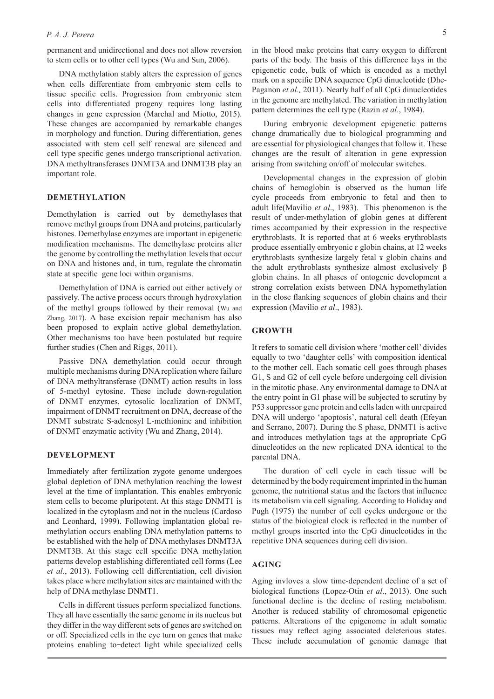#### *P. A. J. Perera*

permanent and unidirectional and does not allow reversion to stem cells or to other cell types (Wu and Sun, 2006).

DNA methylation stably alters the expression of genes when cells differentiate from embryonic stem cells to tissue specific cells. Progression from embryonic stem cells into differentiated progeny requires long lasting changes in gene expression (Marchal and Miotto, 2015). These changes are accompanied by remarkable changes in morphology and function. During differentiation, genes associated with stem cell self renewal are silenced and cell type specific genes undergo transcriptional activation. DNA methyltransferases DNMT3A and DNMT3B play an important role.

### **DEMETHYLATION**

Demethylation is carried out by demethylases that remove methyl groups from DNA and proteins, particularly histones. Demethylase enzymes are important in epigenetic modification mechanisms. The demethylase proteins alter the genome by controlling the methylation levels that occur on DNA and histones and, in turn, regulate the chromatin state at specific gene loci within organisms.

Demethylation of DNA is carried out either actively or passively. The active process occurs through hydroxylation of the methyl groups followed by their removal (Wu and Zhang, 2017). A base excision repair mechanism has also been proposed to explain active global demethylation. Other mechanisms too have been postulated but require further studies (Chen and Riggs, 2011).

Passive DNA demethylation could occur through multiple mechanisms during DNA replication where failure of DNA methyltransferase (DNMT) action results in loss of 5-methyl cytosine. These include down-regulation of DNMT enzymes, cytosolic localization of DNMT, impairment of DNMT recruitment on DNA, decrease of the DNMT substrate S-adenosyl L-methionine and inhibition of DNMT enzymatic activity (Wu and Zhang, 2014).

#### **DEVELOPMENT**

Immediately after fertilization zygote genome undergoes global depletion of DNA methylation reaching the lowest level at the time of implantation. This enables embryonic stem cells to become pluripotent. At this stage DNMT1 is localized in the cytoplasm and not in the nucleus (Cardoso and Leonhard, 1999). Following implantation global remethylation occurs enabling DNA methylation patterns to be established with the help of DNA methylases DNMT3A DNMT3B. At this stage cell specific DNA methylation patterns develop establishing differentiated cell forms (Lee *et al*., 2013). Following cell differentiation, cell division takes place where methylation sites are maintained with the help of DNA methylase DNMT1.

Cells in different tissues perform specialized functions. They all have essentially the same genome in its nucleus but they differ in the way different sets of genes are switched on or off. Specialized cells in the eye turn on genes that make proteins enabling to-detect light while specialized cells

in the blood make proteins that carry oxygen to different parts of the body. The basis of this difference lays in the epigenetic code, bulk of which is encoded as a methyl mark on a specific DNA sequence CpG dinucleotide (Dhe-Paganon *et al.,* 2011). Nearly half of all CpG dinucleotides in the genome are methylated. The variation in methylation pattern determines the cell type (Razin *et al*., 1984).

During embryonic development epigenetic patterns change dramatically due to biological programming and are essential for physiological changes that follow it. These changes are the result of alteration in gene expression arising from switching on/off of molecular switches.

Developmental changes in the expression of globin chains of hemoglobin is observed as the human life cycle proceeds from embryonic to fetal and then to adult life(Mavilio *et al*., 1983). This phenomenon is the result of under-methylation of globin genes at different times accompanied by their expression in the respective erythroblasts. It is reported that at 6 weeks erythroblasts produce essentially embryonic  $\varepsilon$  globin chains, at 12 weeks erythroblasts synthesize largely fetal x globin chains and the adult erythroblasts synthesize almost exclusively β globin chains. In all phases of ontogenic development a strong correlation exists between DNA hypomethylation in the close flanking sequences of globin chains and their expression (Mavilio *et al*., 1983).

### **GROWTH**

It refers to somatic cell division where 'mother cell' divides equally to two 'daughter cells' with composition identical to the mother cell. Each somatic cell goes through phases G1, S and G2 of cell cycle before undergoing cell division in the mitotic phase. Any environmental damage to DNA at the entry point in G1 phase will be subjected to scrutiny by P53 suppressor gene protein and cells laden with unrepaired DNA will undergo 'apoptosis', natural cell death (Efeyan and Serrano, 2007). During the S phase, DNMT1 is active and introduces methylation tags at the appropriate CpG dinucleotides on the new replicated DNA identical to the parental DNA.

The duration of cell cycle in each tissue will be determined by the body requirement imprinted in the human genome, the nutritional status and the factors that influence its metabolism via cell signaling. According to Holiday and Pugh (1975) the number of cell cycles undergone or the status of the biological clock is reflected in the number of methyl groups inserted into the CpG dinucleotides in the repetitive DNA sequences during cell division.

### **AGING**

Aging invloves a slow time-dependent decline of a set of biological functions (Lopez-Otin *et al*., 2013). One such functional decline is the decline of resting metabolism. Another is reduced stability of chromosomal epigenetic patterns. Alterations of the epigenome in adult somatic tissues may reflect aging associated deleterious states. These include accumulation of genomic damage that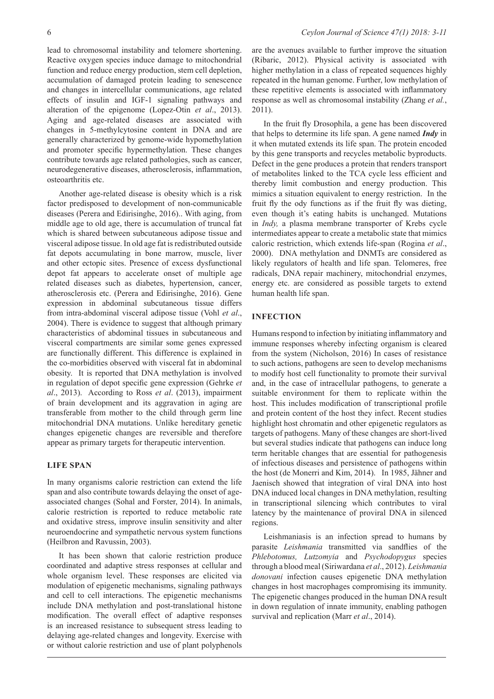osteoarthritis etc.

lead to chromosomal instability and telomere shortening. Reactive oxygen species induce damage to mitochondrial function and reduce energy production, stem cell depletion, accumulation of damaged protein leading to senescence and changes in intercellular communications, age related effects of insulin and IGF-1 signaling pathways and alteration of the epigenome (Lopez-Otin *et al*., 2013). Aging and age-related diseases are associated with changes in 5-methylcytosine content in DNA and are generally characterized by genome-wide hypomethylation and promoter specific hypermethylation. These changes contribute towards age related pathologies, such as cancer, neurodegenerative diseases, atherosclerosis, inflammation,

Another age-related disease is obesity which is a risk factor predisposed to development of non-communicable diseases (Perera and Edirisinghe, 2016).. With aging, from middle age to old age, there is accumulation of truncal fat which is shared between subcutaneous adipose tissue and visceral adipose tissue. In old age fat is redistributed outside fat depots accumulating in bone marrow, muscle, liver and other ectopic sites. Presence of excess dysfunctional depot fat appears to accelerate onset of multiple age related diseases such as diabetes, hypertension, cancer, atherosclerosis etc. (Perera and Edirisinghe, 2016). Gene expression in abdominal subcutaneous tissue differs from intra-abdominal visceral adipose tissue (Vohl *et al*., 2004). There is evidence to suggest that although primary characteristics of abdominal tissues in subcutaneous and visceral compartments are similar some genes expressed are functionally different. This difference is explained in the co-morbidities observed with visceral fat in abdominal obesity. It is reported that DNA methylation is involved in regulation of depot specific gene expression (Gehrke *et al*., 2013). According to Ross *et al*. (2013), impairment of brain development and its aggravation in aging are transferable from mother to the child through germ line mitochondrial DNA mutations. Unlike hereditary genetic changes epigenetic changes are reversible and therefore appear as primary targets for therapeutic intervention.

#### **LIFE SPAN**

In many organisms calorie restriction can extend the life span and also contribute towards delaying the onset of ageassociated changes (Sohal and Forster, 2014). In animals, calorie restriction is reported to reduce metabolic rate and oxidative stress, improve insulin sensitivity and alter neuroendocrine and sympathetic nervous system functions (Heilbron and Ravussin, 2003).

It has been shown that calorie restriction produce coordinated and adaptive stress responses at cellular and whole organism level. These responses are elicited via modulation of epigenetic mechanisms, signaling pathways and cell to cell interactions. The epigenetic mechanisms include DNA methylation and post-translational histone modification. The overall effect of adaptive responses is an increased resistance to subsequent stress leading to delaying age-related changes and longevity. Exercise with or without calorie restriction and use of plant polyphenols

are the avenues available to further improve the situation (Ribaric, 2012). Physical activity is associated with higher methylation in a class of repeated sequences highly repeated in the human genome. Further, low methylation of these repetitive elements is associated with inflammatory response as well as chromosomal instability (Zhang *et al.*, 2011).

In the fruit fly Drosophila, a gene has been discovered that helps to determine its life span. A gene named *Indy* in it when mutated extends its life span. The protein encoded by this gene transports and recycles metabolic byproducts. Defect in the gene produces a protein that renders transport of metabolites linked to the TCA cycle less efficient and thereby limit combustion and energy production. This mimics a situation equivalent to energy restriction. In the fruit fly the ody functions as if the fruit fly was dieting, even though it's eating habits is unchanged. Mutations in *Indy,* a plasma membrane transporter of Krebs cycle intermediates appear to create a metabolic state that mimics caloric restriction, which extends life-span (Rogina *et al*., 2000). DNA methylation and DNMTs are considered as likely regulators of health and life span. Telomeres, free radicals, DNA repair machinery, mitochondrial enzymes, energy etc. are considered as possible targets to extend human health life span.

### **INFECTION**

Humans respond to infection by initiating inflammatory and immune responses whereby infecting organism is cleared from the system (Nicholson, 2016) In cases of resistance to such actions, pathogens are seen to develop mechanisms to modify host cell functionality to promote their survival and, in the case of intracellular pathogens, to generate a suitable environment for them to replicate within the host. This includes modification of transcriptional profile and protein content of the host they infect. Recent studies highlight host chromatin and other epigenetic regulators as targets of pathogens. Many of these changes are short-lived but several studies indicate that pathogens can induce long term heritable changes that are essential for pathogenesis of infectious diseases and persistence of pathogens within the host (de Monerri and Kim, 2014). In 1985, Jähner and Jaenisch showed that integration of viral DNA into host DNA induced local changes in DNA methylation, resulting in transcriptional silencing which contributes to viral latency by the maintenance of proviral DNA in silenced regions.

Leishmaniasis is an infection spread to humans by parasite *Leishmania* transmitted via sandflies of the *Phlebotomus, Lutzomyia* and *Psychodopygus* species through a blood meal (Siriwardana *et al*., 2012). *Leishmania donovani* infection causes epigenetic DNA methylation changes in host macrophages compromising its immunity. The epigenetic changes produced in the human DNA result in down regulation of innate immunity, enabling pathogen survival and replication (Marr *et al*., 2014).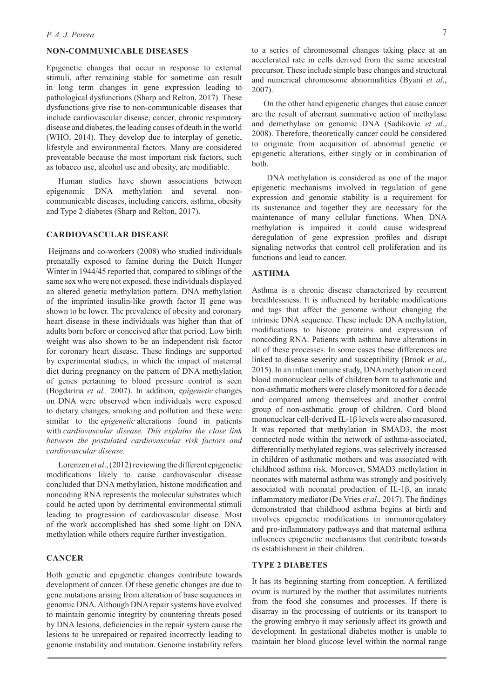### **NON-COMMUNICABLE DISEASES**

Epigenetic changes that occur in response to external stimuli, after remaining stable for sometime can result in long term changes in gene expression leading to pathological dysfunctions (Sharp and Relton, 2017). These dysfunctions give rise to non-communicable diseases that include cardiovascular disease, cancer, chronic respiratory disease and diabetes, the leading causes of death in the world (WHO, 2014). They develop due to interplay of genetic, lifestyle and environmental factors. Many are considered preventable because the most important risk factors, such as tobacco use, alcohol use and obesity, are modifiable.

Human studies have shown associations between epigenomic DNA methylation and several noncommunicable diseases, including cancers, asthma, obesity and Type 2 diabetes (Sharp and Relton, 2017).

### **CARDIOVASCULAR DISEASE**

Heijmans and co-workers (2008) who studied individuals prenatally exposed to famine during the Dutch Hunger Winter in 1944/45 reported that, compared to siblings of the same sex who were not exposed, these individuals displayed an altered genetic methylation pattern. DNA methylation of the imprinted insulin-like growth factor II gene was shown to be lower. The prevalence of obesity and coronary heart disease in these individuals was higher than that of adults born before or conceived after that period. Low birth weight was also shown to be an independent risk factor for coronary heart disease. These findings are supported by experimental studies, in which the impact of maternal diet during pregnancy on the pattern of DNA methylation of genes pertaining to blood pressure control is seen (Bogdarina *et al.,* 2007). In addition, e*pigenetic* changes on DNA were observed when individuals were exposed to dietary changes, smoking and pollution and these were similar to the *epigenetic* alterations found in patients with *cardiovascular disease. This explains the close link between the postulated cardiovascular risk factors and cardiovascular disease.* 

Lorenzen *et al*., (2012) reviewing the different epigenetic modifications likely to cause cardiovascular disease concluded that DNA methylation, histone modification and noncoding RNA represents the molecular substrates which could be acted upon by detrimental environmental stimuli leading to progression of cardiovascular disease. Most of the work accomplished has shed some light on DNA methylation while others require further investigation.

### **CANCER**

Both genetic and epigenetic changes contribute towards development of cancer. Of these genetic changes are due to gene mutations arising from alteration of base sequences in genomic DNA. Although DNA repair systems have evolved to maintain genomic integrity by countering threats posed by DNA lesions, deficiencies in the repair system cause the lesions to be unrepaired or repaired incorrectly leading to genome instability and mutation. Genome instability refers

to a series of chromosomal changes taking place at an accelerated rate in cells derived from the same ancestral precursor. These include simple base changes and structural and numerical chromosome abnormalities (Byani *et al*., 2007).

On the other hand epigenetic changes that cause cancer are the result of aberrant summative action of methylase and demethylase on genomic DNA (Sadikovic *et al*., 2008). Therefore, theoretically cancer could be considered to originate from acquisition of abnormal genetic or epigenetic alterations, either singly or in combination of both.

 DNA methylation is considered as one of the major epigenetic mechanisms involved in regulation of gene expression and genomic stability is a requirement for its sustenance and together they are necessary for the maintenance of many cellular functions. When DNA methylation is impaired it could cause widespread deregulation of gene expression profiles and disrupt signaling networks that control cell proliferation and its functions and lead to cancer.

#### **ASTHMA**

Asthma is a chronic disease characterized by recurrent breathlessness. It is influenced by heritable modifications and tags that affect the genome without changing the intrinsic DNA sequence. These include DNA methylation, modifications to histone proteins and expression of noncoding RNA. Patients with asthma have alterations in all of these processes. In some cases these differences are linked to disease severity and susceptibility (Brook *et al*., 2015). In an infant immune study, DNA methylation in cord blood mononuclear cells of children born to asthmatic and non-asthmatic mothers were closely monitored for a decade and compared among themselves and another control group of non-asthmatic group of children. Cord blood mononuclear cell-derived IL-1β levels were also measured. It was reported that methylation in SMAD3, the most connected node within the network of asthma-associated, differentially methylated regions, was selectively increased in children of asthmatic mothers and was associated with childhood asthma risk. Moreover, SMAD3 methylation in neonates with maternal asthma was strongly and positively associated with neonatal production of IL-1β, an innate inflammatory mediator (De Vries *et al*., 2017). The findings demonstrated that childhood asthma begins at birth and involves epigenetic modifications in immunoregulatory and pro-inflammatory pathways and that maternal asthma influences epigenetic mechanisms that contribute towards its establishment in their children.

#### **TYPE 2 DIABETES**

It has its beginning starting from conception. A fertilized ovum is nurtured by the mother that assimilates nutrients from the food she consumes and processes. If there is disarray in the processing of nutrients or its transport to the growing embryo it may seriously affect its growth and development. In gestational diabetes mother is unable to maintain her blood glucose level within the normal range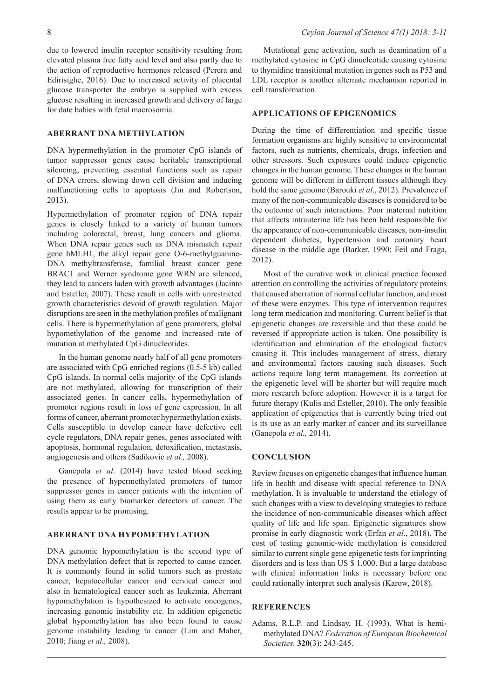due to lowered insulin receptor sensitivity resulting from elevated plasma free fatty acid level and also partly due to the action of reproductive hormones released (Perera and Edirisighe, 2016). Due to increased activity of placental glucose transporter the embryo is supplied with excess glucose resulting in increased growth and delivery of large for date babies with fetal macrosomia.

### **ABERRANT DNA METHYLATION**

DNA hypermethylation in the promoter CpG islands of tumor suppressor genes cause heritable transcriptional silencing, preventing essential functions such as repair of DNA errors, slowing down cell division and inducing malfunctioning cells to apoptosis (Jin and Robertson, 2013).

Hypermethylation of promoter region of DNA repair genes is closely linked to a variety of human tumors including colorectal, breast, lung cancers and glioma. When DNA repair genes such as DNA mismatch repair gene hMLH1, the alkyl repair gene O-6-methylguanine-DNA methyltransferase, familial breast cancer gene BRAC1 and Werner syndrome gene WRN are silenced, they lead to cancers laden with growth advantages (Jacinto and Esteller, 2007). These result in cells with unrestricted growth characteristics devoid of growth regulation. Major disruptions are seen in the methylation profiles of malignant cells. There is hypermethylation of gene promoters, global hypomethylation of the genome and increased rate of mutation at methylated CpG dinucleotides.

In the human genome nearly half of all gene promoters are associated with CpG enriched regions (0.5-5 kb) called CpG islands. In normal cells majority of the CpG islands are not methylated, allowing for transcription of their associated genes. In cancer cells, hypermethylation of promoter regions result in loss of gene expression. In all forms of cancer, aberrant promoter hypermethylation exists. Cells susceptible to develop cancer have defective cell cycle regulators, DNA repair genes, genes associated with apoptosis, hormonal regulation, detoxification, metastasis, angiogenesis and others (Sadikovic *et al.,* 2008).

Ganepola *et al*. (2014) have tested blood seeking the presence of hypermethylated promoters of tumor suppressor genes in cancer patients with the intention of using them as early biomarker detectors of cancer. The results appear to be promising.

### **ABERRANT DNA HYPOMETHYLATION**

DNA genomic hypomethylation is the second type of DNA methylation defect that is reported to cause cancer. It is commonly found in solid tumors such as prostate cancer, hepatocellular cancer and cervical cancer and also in hematological cancer such as leukemia. Aberrant hypomethylation is hypothesized to activate oncogenes, increasing genomic instability etc. In addition epigenetic global hypomethylation has also been found to cause genome instability leading to cancer (Lim and Maher, 2010; Jiang *et al.,* 2008).

Mutational gene activation, such as deamination of a methylated cytosine in CpG dinucleotide causing cytosine to thymidine transitional mutation in genes such as P53 and LDL receptor is another alternate mechanism reported in cell transformation.

# **APPLICATIONS OF EPIGENOMICS**

During the time of differentiation and specific tissue formation organisms are highly sensitive to environmental factors, such as nutrients, chemicals, drugs, infection and other stressors. Such exposures could induce epigenetic changes in the human genome. These changes in the human genome will be different in different tissues although they hold the same genome (Barouki *et al*., 2012). Prevalence of many of the non-communicable diseases is considered to be the outcome of such interactions. Poor maternal nutrition that affects intrauterine life has been held responsible for the appearance of non-communicable diseases, non-insulin dependent diabetes, hypertension and coronary heart disease in the middle age (Barker, 1990; Feil and Fraga, 2012).

Most of the curative work in clinical practice focused attention on controlling the activities of regulatory proteins that caused aberration of normal cellular function, and most of these were enzymes. This type of intervention requires long term medication and monitoring. Current belief is that epigenetic changes are reversible and that these could be reversed if appropriate action is taken. One possibility is identification and elimination of the etiological factor/s causing it. This includes management of stress, dietary and environmental factors causing such diseases. Such actions require long term management. Its correction at the epigenetic level will be shorter but will require much more research before adoption. However it is a target for future therapy (Kulis and Esteller, 2010). The only feasible application of epigenetics that is currently being tried out is its use as an early marker of cancer and its surveillance (Ganepola *et al.,* 2014).

#### **CONCLUSION**

Review focuses on epigenetic changes that influence human life in health and disease with special reference to DNA methylation. It is invaluable to understand the etiology of such changes with a view to developing strategies to reduce the incidence of non-communicable diseases which affect quality of life and life span. Epigenetic signatures show promise in early diagnostic work (Erfan *et al*., 2018). The cost of testing genomic-wide methylation is considered similar to current single gene epigenetic tests for imprinting disorders and is less than US \$ 1,000. But a large database with clinical information links is necessary before one could rationally interpret such analysis (Karow, 2018).

### **REFERENCES**

Adams, R.L.P. and Lindsay, H. (1993). What is hemimethylated DNA? *Federation of European Biochemical Societies.* **320**(3): 243-245.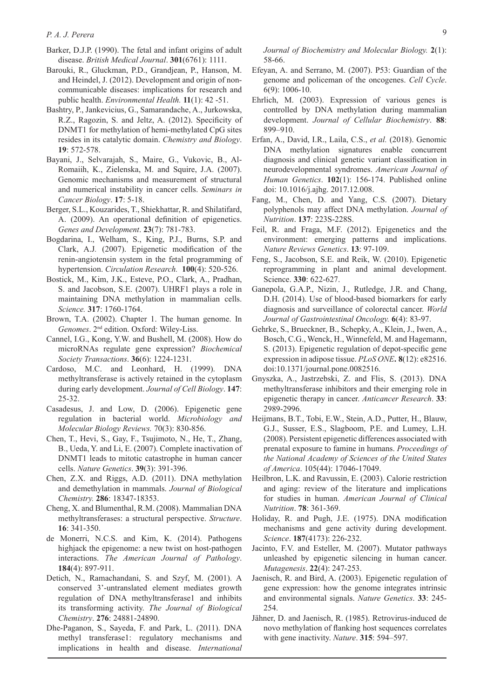- Barker, D.J.P. (1990). The fetal and infant origins of adult disease. *British Medical Journal*. **301**(6761): 1111.
- Barouki, R., Gluckman, P.D., Grandjean, P., Hanson, M. and Heindel, J. (2012). Development and origin of noncommunicable diseases: implications for research and public health. *Environmental Health.* **11**(1): 42 -51.
- Bashtry, P., Jankevicius, G., Samarandache, A., Jurkowska, R.Z., Ragozin, S. and Jeltz, A. (2012). Specificity of DNMT1 for methylation of hemi-methylated CpG sites resides in its catalytic domain. *Chemistry and Biology*. **19**: 572-578.
- Bayani, J., Selvarajah, S., Maire, G., Vukovic, B., Al-Romaiih, K., Zielenska, M. and Squire, J.A. (2007). Genomic mechanisms and measurement of structural and numerical instability in cancer cells. *Seminars in Cancer Biology*. **17**: 5-18.
- Berger, S.L., Kouzarides, T., Shiekhattar, R. and Shilatifard, A. (2009). An operational definition of epigenetics. *Genes and Development*. **23**(7): 781-783.
- Bogdarina, I., Welham, S., King, P.J., Burns, S.P. and Clark, A.J*.* (2007). Epigenetic modification of the renin-angiotensin system in the fetal programming of hypertension. *Circulation Research.* **100**(4): 520-526.
- Bostick, M., Kim, J.K., Esteve, P.O., Clark, A., Pradhan, S. and Jacobson, S.E. (2007). UHRF1 plays a role in maintaining DNA methylation in mammalian cells. *Science.* **317**: 1760-1764.
- Brown, T.A. (2002). Chapter 1. The human genome. In *Genomes*. 2nd edition. Oxford: Wiley-Liss.
- Cannel, I.G., Kong, Y.W. and Bushell, M. (2008). How do microRNAs regulate gene expression? *Biochemical Society Transactions*. **36**(6): 1224-1231.
- Cardoso, M.C. and Leonhard, H. (1999). DNA methyltransferase is actively retained in the cytoplasm during early development. *Journal of Cell Biology*. **147**: 25-32.
- Casadesus, J. and Low, D. (2006). Epigenetic gene regulation in bacterial world. *Microbiology and Molecular Biology Reviews.* 70(3): 830-856.
- Chen, T., Hevi, S., Gay, F., Tsujimoto, N., He, T., Zhang, B., Ueda, Y. and Li, E. (2007). Complete inactivation of DNMT1 leads to mitotic catastrophe in human cancer cells. *Nature Genetics*. **39**(3): 391-396.
- Chen, Z.X. and Riggs, A.D. (2011). DNA methylation and demethylation in mammals. *Journal of Biological Chemistry.* **286**: 18347-18353.
- Cheng, X. and Blumenthal, R.M. (2008). Mammalian DNA methyltransferases: a structural perspective. *Structure*. **16**: 341-350.
- de Monerri, N.C.S. and Kim, K. (2014). Pathogens highjack the epigenome: a new twist on host-pathogen interactions. *The American Journal of Pathology*. **184**(4): 897-911.
- Detich, N., Ramachandani, S. and Szyf, M. (2001). A conserved 3'-untranslated element mediates growth regulation of DNA methyltransferase1 and inhibits its transforming activity. *The Journal of Biological Chemistry*. **276**: 24881-24890.
- Dhe-Paganon, S., Sayeda, F. and Park, L. (2011). DNA methyl transferase1: regulatory mechanisms and implications in health and disease. *International*

*Journal of Biochemistry and Molecular Biology.* **2**(1): 58-66.

- Efeyan, A. and Serrano, M. (2007). P53: Guardian of the genome and policeman of the oncogenes. *Cell Cycle*. 6(9): 1006-10.
- Ehrlich, M. (2003). Expression of various genes is controlled by DNA methylation during mammalian development. *Journal of Cellular Biochemistry*. **88**: 899–910.
- Erfan, A., David, I.R., Laila, C.S., *et al.* (2018). Genomic DNA methylation signatures enable concurrent diagnosis and clinical genetic variant classification in neurodevelopmental syndromes. *American Journal of Human Genetics*. **102**(1): 156-174. Published online doi: 10.1016/j.ajhg. 2017.12.008.
- Fang, M., Chen, D. and Yang, C.S. (2007). Dietary polyphenols may affect DNA methylation. *Journal of Nutrition*. **137**: 223S-228S.
- Feil, R. and Fraga, M.F. (2012). Epigenetics and the environment: emerging patterns and implications. *Nature Reviews Genetics*. **13**: 97-109.
- Feng, S., Jacobson, S.E. and Reik, W. (2010). Epigenetic reprogramming in plant and animal development. Science. **330**: 622-627.
- Ganepola, G.A.P., Nizin, J., Rutledge, J.R. and Chang, D.H. (2014). Use of blood-based biomarkers for early diagnosis and surveillance of colorectal cancer. *World Journal of Gastrointestinal Oncology.* **6**(4): 83-97.
- Gehrke, S., Brueckner, B., Schepky, A., Klein, J., Iwen, A., Bosch, C.G., Wenck, H., Winnefeld, M. and Hagemann, S. (2013). Epigenetic regulation of depot-specific gene expression in adipose tissue. *PLoS ONE***. 8**(12): e82516. doi:10.1371/journal.pone.0082516.
- Gnyszka, A., Jastrzebski, Z. and Flis, S. (2013). DNA methyltransferase inhibitors and their emerging role in epigenetic therapy in cancer. *Anticancer Research*. **33**: 2989-2996.
- Heijmans, B.T., Tobi, E.W., Stein, A.D., Putter, H., Blauw, G.J., Susser, E.S., Slagboom, P.E. and Lumey, L.H. (2008). Persistent epigenetic differences associated with prenatal exposure to famine in humans. *Proceedings of the National Academy of Sciences of the United States of America*. 105(44): 17046-17049.
- Heilbron, L.K. and Ravussin, E. (2003). Calorie restriction and aging: review of the literature and implications for studies in human. *American Journal of Clinical Nutrition*. **78**: 361-369.
- Holiday, R. and Pugh, J.E. (1975). DNA modification mechanisms and gene activity during development. *Science*. **187**(4173): 226-232.
- Jacinto, F.V. and Esteller, M. (2007). Mutator pathways unleashed by epigenetic silencing in human cancer. *Mutagenesis*. **22**(4): 247-253.
- Jaenisch, R. and Bird, A. (2003). Epigenetic regulation of gene expression: how the genome integrates intrinsic and environmental signals. *Nature Genetics*. **33**: 245- 254.
- Jähner, D. and Jaenisch, R. (1985). Retrovirus-induced de novo methylation of flanking host sequences correlates with gene inactivity. *Nature*. **315**: 594–597.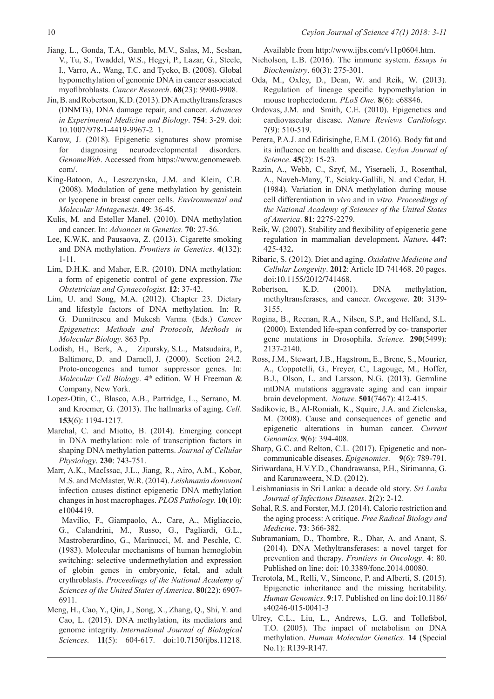- Jiang, L., Gonda, T.A., Gamble, M.V., Salas, M., Seshan, V., Tu, S., Twaddel, W.S., Hegyi, P., Lazar, G., Steele, I., Varro, A., Wang, T.C. and Tycko, B. (2008). Global hypomethylation of genomic DNA in cancer associated myofibroblasts. *Cancer Research*. **68**(23): 9900-9908.
- Jin, B. and Robertson, K.D. (2013). DNA methyltransferases (DNMTs), DNA damage repair, and cancer. *Advances in Experimental Medicine and Biology*. **754**: 3-29. doi: 10.1007/978-1-4419-9967-2\_1.
- Karow, J. (2018). Epigenetic signatures show promise for diagnosing neurodevelopmental disorders. *GenomeWeb*. Accessed from https://www.genomeweb. com/.
- King-Batoon, A., Leszczynska, J.M. and Klein, C.B. (2008). Modulation of gene methylation by genistein or lycopene in breast cancer cells. *Environmental and Molecular Mutagenesis*. **49**: 36-45.
- Kulis, M. and Esteller Manel. (2010). DNA methylation and cancer. In: *Advances in Genetics*. **70**: 27-56.
- Lee, K.W.K. and Pausaova, Z. (2013). Cigarette smoking and DNA methylation. *Frontiers in Genetics*. **4**(132): 1-11.
- Lim, D.H.K. and Maher, E.R. (2010). DNA methylation: a form of epigenetic control of gene expression. *The Obstetrician and Gynaecologist*. **12**: 37-42.
- Lim, U. and Song, M.A. (2012). Chapter 23. Dietary and lifestyle factors of DNA methylation. In: R. G. Dumitrescu and Mukesh Varma (Eds.) *Cancer Epigenetics*: *Methods and Protocols, Methods in Molecular Biology.* 863 Pp.
- Lodish, H., Berk, A., Zipursky, S.L., Matsudaira, P., Baltimore, D. and Darnell, J. (2000). Section 24.2. Proto-oncogenes and tumor suppressor genes. In: *Molecular Cell Biology*. 4<sup>th</sup> edition. W H Freeman & Company, New York.
- Lopez-Otin, C., Blasco, A.B., Partridge, L., Serrano, M. and Kroemer, G. (2013). The hallmarks of aging. *Cell*. **153**(6): 1194-1217.
- Marchal, C. and Miotto, B. (2014). Emerging concept in DNA methylation: role of transcription factors in shaping DNA methylation patterns. *Journal of Cellular Physiology*. **230**: 743-751.
- Marr, A.K., MacIssac, J.L., Jiang, R., Airo, A.M., Kobor, M.S. and McMaster, W.R. (2014). *Leishmania donovani* infection causes distinct epigenetic DNA methylation changes in host macrophages. *PLOS Pathology*. **10**(10): e1004419.
	- Mavilio, F., Giampaolo, A., Care, A., Migliaccio, G., Calandrini, M., Russo, G., Pagliardi, G.L., Mastroberardino, G., Marinucci, M. and Peschle, C. (1983). Molecular mechanisms of human hemoglobin switching: selective undermethylation and expression of globin genes in embryonic, fetal, and adult erythroblasts. *Proceedings of the National Academy of Sciences of the United States of America*. **80**(22): 6907- 6911.
- Meng, H., Cao, Y., Qin, J., Song, X., Zhang, Q., Shi, Y. and Cao, L. (2015). DNA methylation, its mediators and genome integrity. *International Journal of Biological Sciences.* **11**(5): 604-617. doi:10.7150/ijbs.11218.

Available from http://www.ijbs.com/v11p0604.htm.

- Nicholson, L.B. (2016). The immune system. *Essays in Biochemistry*. 60(3): 275-301.
- Oda, M., Oxley, D., Dean, W. and Reik, W. (2013). Regulation of lineage specific hypomethylation in mouse trophectoderm. *PLoS One*. **8**(6): e68846.
- Ordovas, J.M. and Smith, C.E. (2010). Epigenetics and cardiovascular disease*. Nature Reviews Cardiology*. 7(9): 510-519.
- Perera, P.A.J. and Edirisinghe, E.M.I. (2016). Body fat and its influence on health and disease. *Ceylon Journal of Science*. **45**(2): 15-23.
- Razin, A., Webb, C., Szyf, M., Yiseraeli, J., Rosenthal, A., Naveh-Many, T., Sciaky-Gallili, N. and Cedar, H. (1984). Variation in DNA methylation during mouse cell differentiation in *vivo* and in *vitro. Proceedings of the National Academy of Sciences of the United States of America*. **81**: 2275-2279.
- Reik, W. (2007). Stability and flexibility of epigenetic gene regulation in mammalian development**.** *Nature***. 447**: 425-432**.**
- Ribaric, S. (2012). Diet and aging. *Oxidative Medicine and Cellular Longevity*. **2012**: Article ID 741468. 20 pages. doi:10.1155/2012/741468.
- Robertson, K.D. (2001). DNA methylation, methyltransferases, and cancer. *Oncogene*. **20**: 3139- 3155.
- Rogina, B., Reenan, R.A., Nilsen, S.P., and Helfand, S.L. (2000). Extended life-span conferred by co- transporter gene mutations in Drosophila. *Science*. **290**(5499): 2137-2140.
- Ross, J.M., Stewart, J.B., Hagstrom, E., Brene, S., Mourier, A., Coppotelli, G., Freyer, C., Lagouge, M., Hoffer, B.J., Olson, L. and Larsson, N.G. (2013). Germline mtDNA mutations aggravate aging and can impair brain development. *Nature.* **501**(7467): 412-415.
- Sadikovic, B., Al-Romiah, K., Squire, J.A. and Zielenska, M. (2008). Cause and consequences of genetic and epigenetic alterations in human cancer. *Current Genomics*. **9**(6): 394-408.
- Sharp, G.C. and Relton, C.L. (2017). Epigenetic and noncommunicable diseases. *Epigenomics*. **9**(6): 789-791.
- Siriwardana, H.V.Y.D., Chandrawansa, P.H., Sirimanna, G. and Karunaweera, N.D. (2012).
- Leishmaniasis in Sri Lanka: a decade old story. *Sri Lanka Journal of Infectious Diseases*. **2**(2): 2-12.
- Sohal, R.S. and Forster, M.J. (2014). Calorie restriction and the aging process: A critique. *Free Radical Biology and Medicine*. **73**: 366-382.
- Subramaniam, D., Thombre, R., Dhar, A. and Anant, S. (2014). DNA Methyltransferases: a novel target for prevention and therapy. *Frontiers in Oncology*. **4**: 80. Published on line: doi: 10.3389/fonc.2014.00080.
- Trerotola, M., Relli, V., Simeone, P. and Alberti, S. (2015). Epigenetic inheritance and the missing heritability. *Human Genomics*. **9**:17. Published on line doi:10.1186/ s40246-015-0041-3
- Ulrey, C.L., Liu, L., Andrews, L.G. and Tollefsbol, T.O. (2005). The impact of metabolism on DNA methylation. *Human Molecular Genetics*. **14** (Special No.1): R139-R147.